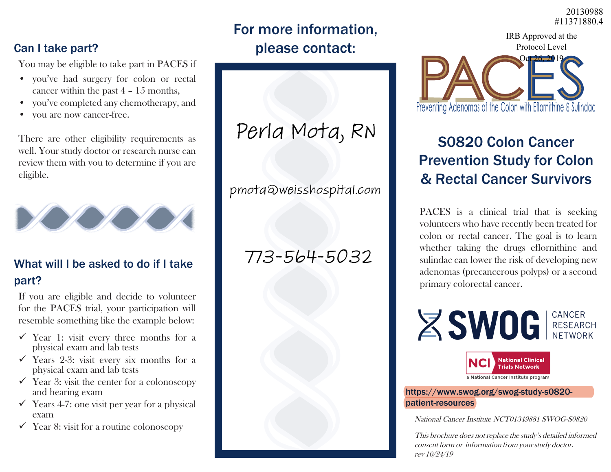#11371880.4 20130988

IRB Approved at the

### For more information, please contact:

#### Can I take part?

You may be eligible to take part in PACES if

- you've had surgery for colon or rectal cancer within the past 4 – 15 months,
- you've completed any chemotherapy, and
- you are now cancer-free.

There are other eligibility requirements as well. Your study doctor or research nurse can review them with you to determine if you are eligible.



#### What will I be asked to do if I take part?

If you are eligible and decide to volunteer for the PACES trial, your participation will resemble something like the example below:

- $\checkmark$  Year 1: visit every three months for a physical exam and lab tests
- $\checkmark$  Years 2-3: visit every six months for a physical exam and lab tests
- $\checkmark$  Year 3: visit the center for a colonoscopy and hearing exam
- $\checkmark$  Years 4-7: one visit per year for a physical exam
- $\checkmark$  Year 8: visit for a routine colonoscopy

# Perla Mota, RN

pmota@weisshospital.com

## $773 - 564 - 5032$



## S0820 Colon Cancer Prevention Study for Colon & Rectal Cancer Survivors

PACES is a clinical trial that is seeking volunteers who have recently been treated for colon or rectal cancer. The goal is to learn whether taking the drugs eflornithine and sulindac can lower the risk of developing new adenomas (precancerous polyps) or a second primary colorectal cancer.



https://www.swog.org/swog-study-s0820 patient-resources

National Cancer Institute NCT01349881 SWOG-S0820

This brochure does not replace the study's detailed informed consent form or information from your study doctor. rev 10/24/19